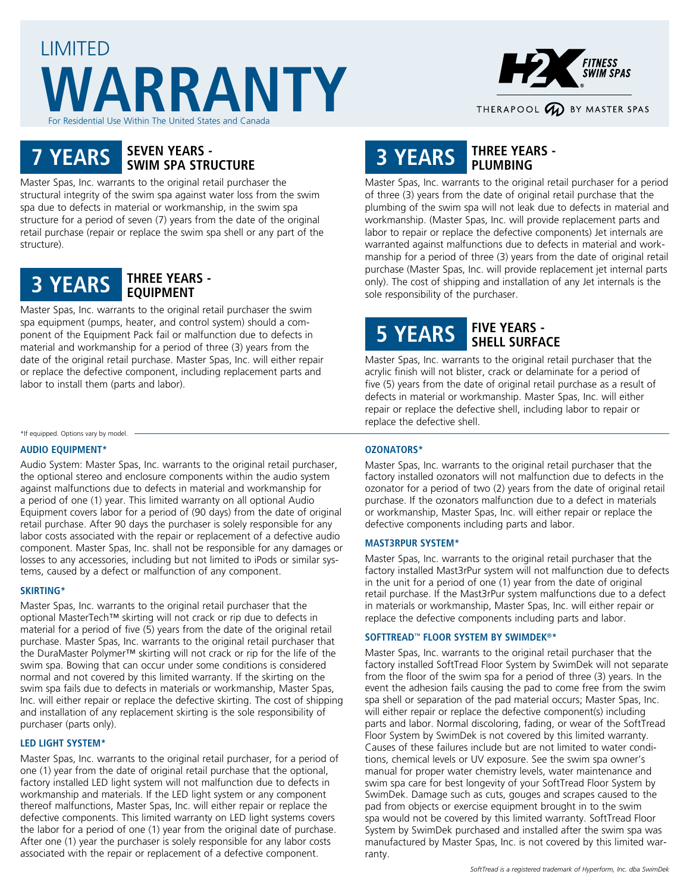## LIMITED **WARRANTY** or Residential Use Within The United States and Canada



# **7 YEARS SEVEN YEARS - SWIM SPA STRUCTURE**

Master Spas, Inc. warrants to the original retail purchaser the structural integrity of the swim spa against water loss from the swim spa due to defects in material or workmanship, in the swim spa structure for a period of seven (7) years from the date of the original retail purchase (repair or replace the swim spa shell or any part of the structure).



Master Spas, Inc. warrants to the original retail purchaser the swim spa equipment (pumps, heater, and control system) should a component of the Equipment Pack fail or malfunction due to defects in material and workmanship for a period of three (3) years from the date of the original retail purchase. Master Spas, Inc. will either repair or replace the defective component, including replacement parts and labor to install them (parts and labor).

\*If equipped. Options vary by model.

#### **AUDIO EQUIPMENT\***

Audio System: Master Spas, Inc. warrants to the original retail purchaser, the optional stereo and enclosure components within the audio system against malfunctions due to defects in material and workmanship for a period of one (1) year. This limited warranty on all optional Audio Equipment covers labor for a period of (90 days) from the date of original retail purchase. After 90 days the purchaser is solely responsible for any labor costs associated with the repair or replacement of a defective audio component. Master Spas, Inc. shall not be responsible for any damages or losses to any accessories, including but not limited to iPods or similar systems, caused by a defect or malfunction of any component.

#### **SKIRTING\***

Master Spas, Inc. warrants to the original retail purchaser that the optional MasterTech™ skirting will not crack or rip due to defects in material for a period of five (5) years from the date of the original retail purchase. Master Spas, Inc. warrants to the original retail purchaser that the DuraMaster Polymer™ skirting will not crack or rip for the life of the swim spa. Bowing that can occur under some conditions is considered normal and not covered by this limited warranty. If the skirting on the swim spa fails due to defects in materials or workmanship, Master Spas, Inc. will either repair or replace the defective skirting. The cost of shipping and installation of any replacement skirting is the sole responsibility of purchaser (parts only).

#### **LED LIGHT SYSTEM\***

Master Spas, Inc. warrants to the original retail purchaser, for a period of one (1) year from the date of original retail purchase that the optional, factory installed LED light system will not malfunction due to defects in workmanship and materials. If the LED light system or any component thereof malfunctions, Master Spas, Inc. will either repair or replace the defective components. This limited warranty on LED light systems covers the labor for a period of one (1) year from the original date of purchase. After one (1) year the purchaser is solely responsible for any labor costs associated with the repair or replacement of a defective component.

## **3 YEARS THREE YEARS - PLUMBING**

Master Spas, Inc. warrants to the original retail purchaser for a period of three (3) years from the date of original retail purchase that the plumbing of the swim spa will not leak due to defects in material and workmanship. (Master Spas, Inc. will provide replacement parts and labor to repair or replace the defective components) Jet internals are warranted against malfunctions due to defects in material and workmanship for a period of three (3) years from the date of original retail purchase (Master Spas, Inc. will provide replacement jet internal parts only). The cost of shipping and installation of any Jet internals is the sole responsibility of the purchaser.

### **5 YEARS FIVE YEARS - SHELL SURFACE**

Master Spas, Inc. warrants to the original retail purchaser that the acrylic finish will not blister, crack or delaminate for a period of five (5) years from the date of original retail purchase as a result of defects in material or workmanship. Master Spas, Inc. will either repair or replace the defective shell, including labor to repair or replace the defective shell.

#### **OZONATORS\***

Master Spas, Inc. warrants to the original retail purchaser that the factory installed ozonators will not malfunction due to defects in the ozonator for a period of two (2) years from the date of original retail purchase. If the ozonators malfunction due to a defect in materials or workmanship, Master Spas, Inc. will either repair or replace the defective components including parts and labor.

#### **MAST3RPUR SYSTEM\***

Master Spas, Inc. warrants to the original retail purchaser that the factory installed Mast3rPur system will not malfunction due to defects in the unit for a period of one (1) year from the date of original retail purchase. If the Mast3rPur system malfunctions due to a defect in materials or workmanship, Master Spas, Inc. will either repair or replace the defective components including parts and labor.

#### **SOFTTREAD™ FLOOR SYSTEM BY SWIMDEK®\***

Master Spas, Inc. warrants to the original retail purchaser that the factory installed SoftTread Floor System by SwimDek will not separate from the floor of the swim spa for a period of three (3) years. In the event the adhesion fails causing the pad to come free from the swim spa shell or separation of the pad material occurs; Master Spas, Inc. will either repair or replace the defective component(s) including parts and labor. Normal discoloring, fading, or wear of the SoftTread Floor System by SwimDek is not covered by this limited warranty. Causes of these failures include but are not limited to water conditions, chemical levels or UV exposure. See the swim spa owner's manual for proper water chemistry levels, water maintenance and swim spa care for best longevity of your SoftTread Floor System by SwimDek. Damage such as cuts, gouges and scrapes caused to the pad from objects or exercise equipment brought in to the swim spa would not be covered by this limited warranty. SoftTread Floor System by SwimDek purchased and installed after the swim spa was manufactured by Master Spas, Inc. is not covered by this limited warranty.